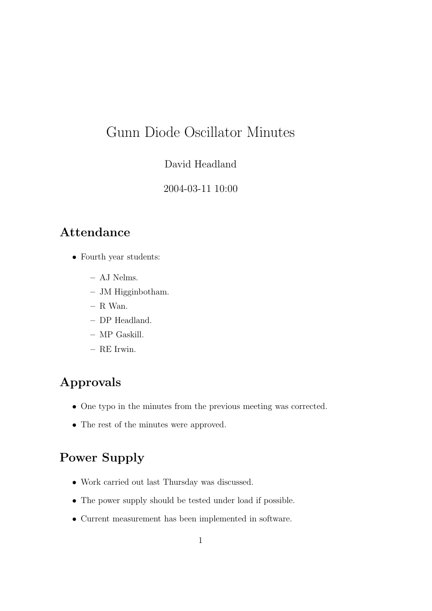# Gunn Diode Oscillator Minutes

#### David Headland

#### 2004-03-11 10:00

### Attendance

- Fourth year students:
	- AJ Nelms.
	- JM Higginbotham.
	- R Wan.
	- DP Headland.
	- MP Gaskill.
	- RE Irwin.

### Approvals

- One typo in the minutes from the previous meeting was corrected.
- The rest of the minutes were approved.

## Power Supply

- Work carried out last Thursday was discussed.
- The power supply should be tested under load if possible.
- Current measurement has been implemented in software.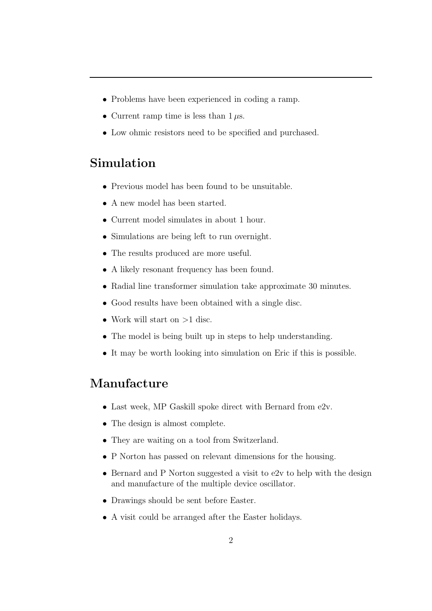- Problems have been experienced in coding a ramp.
- Current ramp time is less than  $1 \mu s$ .
- Low ohmic resistors need to be specified and purchased.

#### Simulation

- Previous model has been found to be unsuitable.
- A new model has been started.
- Current model simulates in about 1 hour.
- Simulations are being left to run overnight.
- The results produced are more useful.
- A likely resonant frequency has been found.
- Radial line transformer simulation take approximate 30 minutes.
- Good results have been obtained with a single disc.
- Work will start on  $>1$  disc.
- The model is being built up in steps to help understanding.
- It may be worth looking into simulation on Eric if this is possible.

#### Manufacture

- Last week, MP Gaskill spoke direct with Bernard from e2v.
- The design is almost complete.
- They are waiting on a tool from Switzerland.
- P Norton has passed on relevant dimensions for the housing.
- Bernard and P Norton suggested a visit to e2v to help with the design and manufacture of the multiple device oscillator.
- Drawings should be sent before Easter.
- A visit could be arranged after the Easter holidays.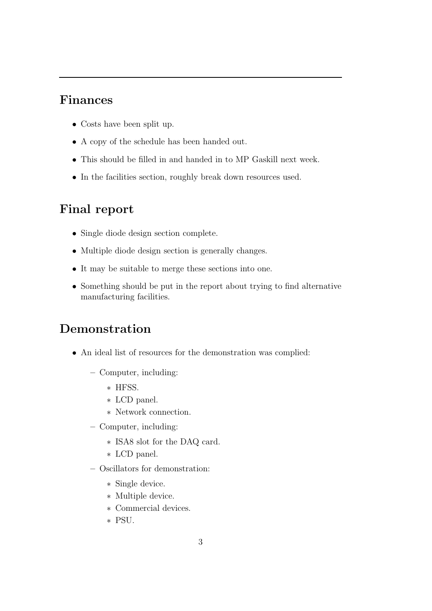#### Finances

- Costs have been split up.
- A copy of the schedule has been handed out.
- This should be filled in and handed in to MP Gaskill next week.
- In the facilities section, roughly break down resources used.

### Final report

- Single diode design section complete.
- Multiple diode design section is generally changes.
- It may be suitable to merge these sections into one.
- Something should be put in the report about trying to find alternative manufacturing facilities.

### Demonstration

- An ideal list of resources for the demonstration was complied:
	- Computer, including:
		- ∗ HFSS.
		- ∗ LCD panel.
		- ∗ Network connection.
	- Computer, including:
		- ∗ ISA8 slot for the DAQ card.
		- ∗ LCD panel.
	- Oscillators for demonstration:
		- ∗ Single device.
		- ∗ Multiple device.
		- ∗ Commercial devices.
		- ∗ PSU.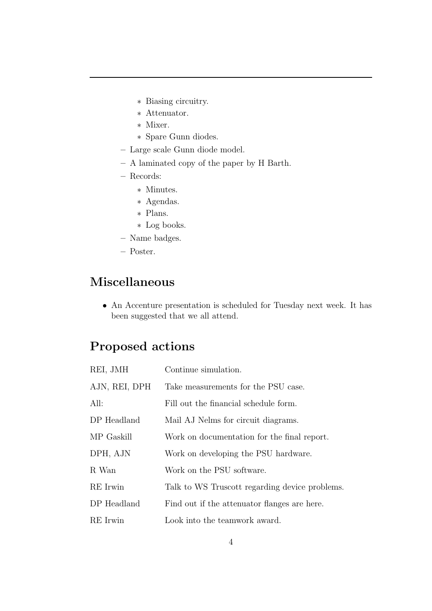- ∗ Biasing circuitry.
- ∗ Attenuator.
- ∗ Mixer.
- ∗ Spare Gunn diodes.
- Large scale Gunn diode model.
- A laminated copy of the paper by H Barth.
- Records:
	- ∗ Minutes.
	- ∗ Agendas.
	- ∗ Plans.
	- ∗ Log books.
- Name badges.
- Poster.

### Miscellaneous

• An Accenture presentation is scheduled for Tuesday next week. It has been suggested that we all attend.

### Proposed actions

| REI, JMH      | Continue simulation.                           |
|---------------|------------------------------------------------|
| AJN, REI, DPH | Take measurements for the PSU case.            |
| All:          | Fill out the financial schedule form.          |
| DP Headland   | Mail AJ Nelms for circuit diagrams.            |
| MP Gaskill    | Work on documentation for the final report.    |
| DPH, AJN      | Work on developing the PSU hardware.           |
| R Wan         | Work on the PSU software.                      |
| RE Irwin      | Talk to WS Truscott regarding device problems. |
| DP Headland   | Find out if the attenuator flanges are here.   |
| RE Irwin      | Look into the teamwork award.                  |